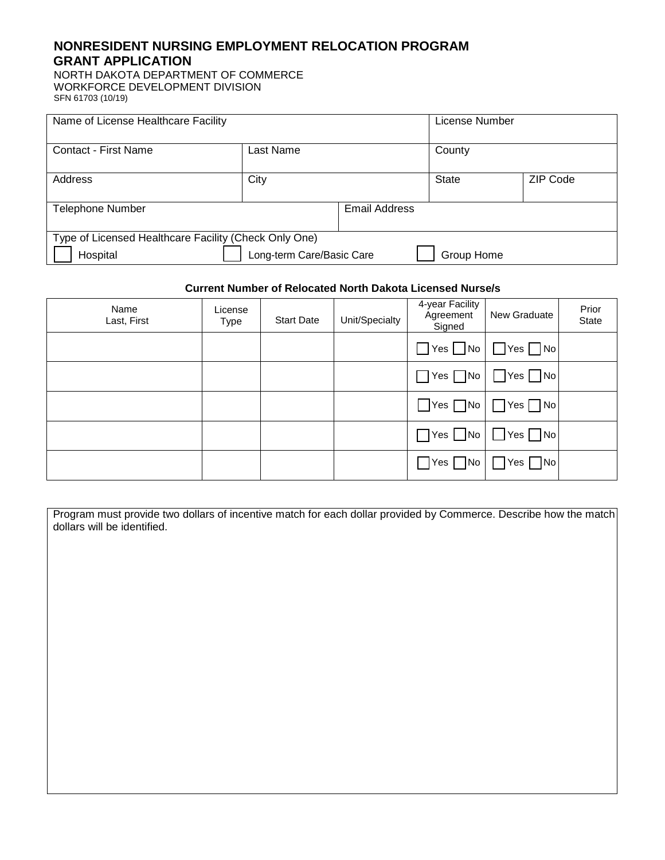## **NONRESIDENT NURSING EMPLOYMENT RELOCATION PROGRAM GRANT APPLICATION**

NORTH DAKOTA DEPARTMENT OF COMMERCE WORKFORCE DEVELOPMENT DIVISION SFN 61703 (10/19)

| Name of License Healthcare Facility                   |           |               | License Number |                 |
|-------------------------------------------------------|-----------|---------------|----------------|-----------------|
| Contact - First Name                                  | Last Name |               | County         |                 |
| Address                                               | City      |               | <b>State</b>   | <b>ZIP Code</b> |
| <b>Telephone Number</b>                               |           | Email Address |                |                 |
| Type of Licensed Healthcare Facility (Check Only One) |           |               |                |                 |
| Long-term Care/Basic Care<br>Hospital<br>Group Home   |           |               |                |                 |

## **Current Number of Relocated North Dakota Licensed Nurse/s**

| Name<br>Last, First | License<br><b>Type</b> | <b>Start Date</b> | Unit/Specialty | 4-year Facility<br>Agreement<br>Signed | New Graduate                              | Prior<br>State |
|---------------------|------------------------|-------------------|----------------|----------------------------------------|-------------------------------------------|----------------|
|                     |                        |                   |                | $\Box$ Yes $\Box$ No $\Box$            | $\Box$ Yes<br>$\blacksquare$ No           |                |
|                     |                        |                   |                |                                        | $\Box$ Yes $\Box$ No $\Box$ Yes $\Box$ No |                |
|                     |                        |                   |                |                                        | $\Box$ Yes $\Box$ No $\Box$ Yes $\Box$ No |                |
|                     |                        |                   |                |                                        | $\Box$ Yes $\Box$ No $\Box$ Yes $\Box$ No |                |
|                     |                        |                   |                |                                        | $\Box$ Yes $\Box$ No $\Box$ Yes $\Box$ No |                |

| Program must provide two dollars of incentive match for each dollar provided by Commerce. Describe how the match |  |
|------------------------------------------------------------------------------------------------------------------|--|
| dollars will be identified.                                                                                      |  |